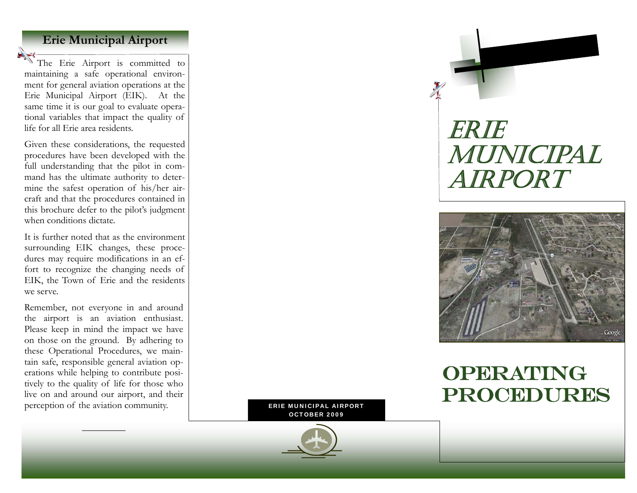### **Erie Municipal Airport**

The Erie Airport is committed to maintaining a safe operational environment for general aviation operations at the Erie Municipal Airport (EIK). At the same time it is our goal to evaluate operational variables that impact the quality of life for all Erie area residents.

Given these considerations, the requested procedures have been developed with the full understanding that the pilot in command has the ultimate authority to determine the safest operation of his/her aircraft and that the procedures contained in this brochure defer to the pilot's judgment when conditions dictate.

It is further noted that as the environment surrounding EIK changes, these procedures may require modifications in an effort to recognize the changing needs of EIK, the Town of Erie and the residents we serve.

Remember, not everyone in and around the airport is an aviation enthusiast. Please keep in mind the impact we have on those on the ground. By adhering to these Operational Procedures, we maintain safe, responsible general aviation operations while helping to contribute positively to the quality of life for those who live on and around our airport, and their perception of the aviation community.

 $\overline{\phantom{a}}$  and  $\overline{\phantom{a}}$  and  $\overline{\phantom{a}}$  and  $\overline{\phantom{a}}$ 

ERIE MUNICIPAL AIRPORT OCTOBER 2009

# ERIE MUNICIPAL AIRPORT



## OPERATING PROCEDURES